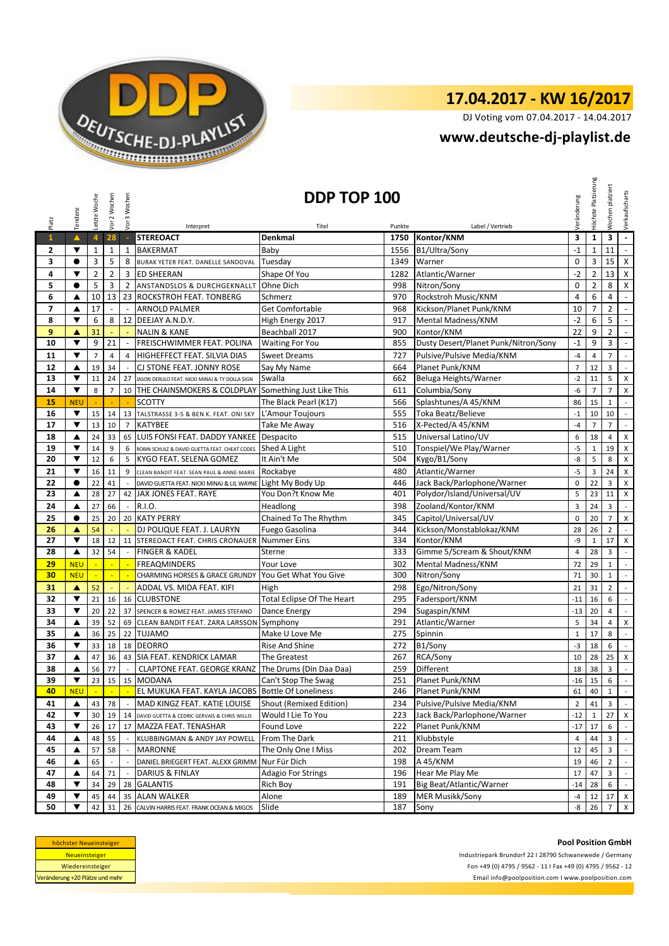

DJ Voting vom 07.04.2017 - 14.04.2017

## **<www.deutsche-dj-playlist.de>**

| Platz                    | Tendenz                 | Letzte Woche             | Vor 2 Wochen             | Vor 3 Wochen   | DDP TOP 100<br>Label / Vertrieb<br>Interpret<br>Titel<br>Punkte |                                   |      |                                      | Veränderung    | Höchste Platzierung | platziert<br>Wochen | Verkaufscharts              |
|--------------------------|-------------------------|--------------------------|--------------------------|----------------|-----------------------------------------------------------------|-----------------------------------|------|--------------------------------------|----------------|---------------------|---------------------|-----------------------------|
| $\mathbf{1}$             | $\blacktriangle$        | $\overline{4}$           | 28                       |                | <b>STEREOACT</b>                                                | <b>Denkmal</b>                    | 1750 | Kontor/KNM                           | 3              | $\mathbf{1}$        | 3                   | $\omega$                    |
| 2                        | ▼                       | $\mathbf 1$              | $\mathbf{1}$             | 1              | <b>BAKERMAT</b>                                                 | Baby                              | 1556 | B1/Ultra/Sony                        | $-1$           | $\mathbf 1$         | 11                  | $\omega$                    |
| 3                        | $\bullet$               | 3                        | 5                        | 8              | BURAK YETER FEAT. DANELLE SANDOVAL                              | Tuesday                           | 1349 | Warner                               | $\mathbf 0$    | 3                   | 15                  | $\boldsymbol{\mathsf{X}}$   |
| 4                        | ▼                       | $\overline{2}$           | $\overline{2}$           | 3              | <b>ED SHEERAN</b>                                               | Shape Of You                      | 1282 | Atlantic/Warner                      | $-2$           | $\mathbf{2}$        | 13                  | $\overline{\mathbf{x}}$     |
| 5                        | $\bullet$               | 5                        | 3                        | $\overline{2}$ | ANSTANDSLOS & DURCHGEKNALLT                                     | Ohne Dich                         | 998  | Nitron/Sony                          | $\mathbf 0$    | $\overline{2}$      | 8                   | $\pmb{\mathsf{X}}$          |
| 6                        | ▲                       | 10                       | 13                       |                | 23 ROCKSTROH FEAT. TONBERG                                      | Schmerz                           | 970  | Rockstroh Music/KNM                  | $\overline{4}$ | 6                   | 4                   | $\blacksquare$              |
| $\overline{\phantom{a}}$ | ▲                       | 17                       | $\blacksquare$           | $\sim$         | <b>ARNOLD PALMER</b>                                            | <b>Get Comfortable</b>            | 968  | Kickson/Planet Punk/KNM              | 10             | $\overline{7}$      | $\overline{2}$      | $\omega$                    |
| 8                        | ▼                       | 6                        | 8                        |                | 12 DEEJAY A.N.D.Y.                                              | High Energy 2017                  | 917  | Mental Madness/KNM                   | $-2$           | 6                   | 5                   | $\omega$                    |
| 9                        | ▲                       | 31                       | $\overline{\phantom{a}}$ | $\Box$         | <b>NALIN &amp; KANE</b>                                         | Beachball 2017                    | 900  | Kontor/KNM                           | 22             | 9                   | $\overline{2}$      | $\sim$                      |
| 10                       | ▼                       | 9                        | 21                       |                | FREISCHWIMMER FEAT. POLINA                                      | <b>Waiting For You</b>            | 855  | Dusty Desert/Planet Punk/Nitron/Sony | $-1$           | 9                   | 3                   | $\mathcal{L}_{\mathcal{A}}$ |
| 11                       | $\blacktriangledown$    | $\overline{7}$           | $\overline{4}$           | 4              | <b>HIGHEFFECT FEAT. SILVIA DIAS</b>                             | <b>Sweet Dreams</b>               | 727  | Pulsive/Pulsive Media/KNM            | $-4$           | $\overline{4}$      | $\overline{7}$      | $\sim$                      |
| 12                       | ▲                       | 19                       | 34                       |                | CJ STONE FEAT. JONNY ROSE                                       | Say My Name                       | 664  | Planet Punk/KNM                      | $\overline{7}$ | 12                  | 3                   | $\sim$                      |
| 13                       | $\blacktriangledown$    | 11                       | 24                       | 27             | JASON DERULO FEAT. NICKI MINAJ & TY DOLLA \$IGN                 | Swalla                            | 662  | Beluga Heights/Warner                | $-2$           | 11                  | 5                   | X                           |
| 14                       | $\blacktriangledown$    | 8                        | $\overline{7}$           |                | 10 THE CHAINSMOKERS & COLDPLAY                                  | Something Just Like This          | 611  | Columbia/Sony                        | $-6$           | $\overline{7}$      | $\overline{7}$      | $\pmb{\mathsf{X}}$          |
| 15                       | <b>NEU</b>              |                          |                          |                | <b>SCOTTY</b>                                                   | The Black Pearl (K17)             | 566  | Splashtunes/A 45/KNM                 | 86             | 15                  | $\mathbf{1}$        | $\mathcal{L}_{\mathcal{A}}$ |
| 16                       | ▼                       | 15                       | 14                       |                | 13 TALSTRASSE 3-5 & BEN K. FEAT. ONI SKY                        | L'Amour Toujours                  | 555  | Toka Beatz/Believe                   | $^{\rm -1}$    | 10                  | 10                  | $\mathbb{Z}^2$              |
| 17                       | ▼                       | 13                       | 10                       | $\overline{7}$ | <b>KATYBEE</b>                                                  | Take Me Away                      | 516  | X-Pected/A 45/KNM                    | $-4$           | $\overline{7}$      | $\overline{7}$      | $\mathbb{Z}^2$              |
| 18                       | ▲                       | 24                       | 33                       |                | 65 LUIS FONSI FEAT. DADDY YANKEE                                | Despacito                         | 515  | Universal Latino/UV                  | 6              | 18                  | 4                   | $\pmb{\times}$              |
| 19                       | $\overline{\mathbf{v}}$ | 14                       | 9                        | 6              | ROBIN SCHULZ & DAVID GUETTA FEAT. CHEAT CODES                   | Shed A Light                      | 510  | Tonspiel/We Play/Warner              | $-5$           | $\mathbf 1$         | 19                  | $\pmb{\mathsf{x}}$          |
| 20                       | ▼                       | 12                       | 6                        | 5              | KYGO FEAT. SELENA GOMEZ                                         | It Ain't Me                       | 504  | Kygo/B1/Sony                         | -8             | 5                   | 8                   | X                           |
| 21                       | ▼                       | 16                       | 11                       | 9              | CLEAN BANDIT FEAT. SEAN PAUL & ANNE-MARIE                       | Rockabye                          | 480  | Atlantic/Warner                      | $-5$           | 3                   | 24                  | X                           |
| 22                       | $\bullet$               | 22                       | 41                       |                | DAVID GUETTA FEAT. NICKI MINAJ & LIL WAYNE                      | Light My Body Up                  | 446  | Jack Back/Parlophone/Warner          | $\pmb{0}$      | 22                  | 3                   | X                           |
| 23                       | ▲                       | 28                       | 27                       |                | 42 JAX JONES FEAT. RAYE                                         | You Don?t Know Me                 | 401  | Polydor/Island/Universal/UV          | 5              | 23                  | 11                  | $\pmb{\times}$              |
| 24                       | ▲                       | 27                       | 66                       | $\overline{a}$ | R.I.O.                                                          | Headlong                          | 398  | Zooland/Kontor/KNM                   | 3              | 24                  | 3                   | $\sim$                      |
| 25                       | $\bullet$               | 25                       | 20                       |                | 20 KATY PERRY                                                   | Chained To The Rhythm             | 345  | Capitol/Universal/UV                 | $\mathbf 0$    | 20                  | $\overline{7}$      | X                           |
| 26                       | ▲                       | 54                       |                          |                | DJ POLIQUE FEAT. J. LAURYN                                      | Fuego Gasolina                    | 344  | Kickson/Monstablokaz/KNM             | 28             | 26                  | $\overline{2}$      | $\overline{\phantom{a}}$    |
| 27                       | ▼                       | 18                       | 12                       |                | 11 STEREOACT FEAT. CHRIS CRONAUER                               | <b>Nummer Eins</b>                | 334  | Kontor/KNM                           | $-9$           | $\mathbf{1}$        | 17                  | X                           |
| 28                       | ▲                       | 32                       | 54                       |                | <b>FINGER &amp; KADEL</b>                                       | Sterne                            | 333  | Gimme 5/Scream & Shout/KNM           | $\overline{4}$ | 28                  | 3                   | $\sim$                      |
| 29                       | <b>NEU</b>              | $\overline{\phantom{a}}$ | ÷                        | $\mathbb{Z}$   | <b>FREAQMINDERS</b>                                             | Your Love                         | 302  | Mental Madness/KNM                   | 72             | 29                  | $\mathbf{1}$        | $\sim$                      |
| 30                       | <b>NEU</b>              | L.                       | L.                       | $\mathbb{L}$   | CHARMING HORSES & GRACE GRUNDY                                  | You Get What You Give             | 300  | Nitron/Sony                          | 71             | 30                  | $\mathbf 1$         | $\mathcal{L}^{\pm}$         |
| 31                       | ▲                       | 52                       | ÷.                       |                | ADDAL VS. MIDA FEAT. KIFI                                       | High                              | 298  | Ego/Nitron/Sony                      | 21             | 31                  | $\overline{2}$      | $\mathcal{L}_{\mathcal{A}}$ |
| 32                       | ▼                       | 21                       | 16                       |                | 16 CLUBSTONE                                                    | <b>Total Eclipse Of The Heart</b> | 295  | Fadersport/KNM                       | $-11$          | 16                  | 6                   | $\mathbb{Z}^2$              |
| 33                       | $\blacktriangledown$    | 20                       | 22                       |                | 37 SPENCER & ROMEZ FEAT. JAMES STEFANO                          | Dance Energy                      | 294  | Sugaspin/KNM                         | $-13$          | 20                  | 4                   | $\sim$                      |
| 34                       | ▲                       | 39                       | 52                       |                | 69 CLEAN BANDIT FEAT. ZARA LARSSON                              | Symphony                          | 291  | Atlantic/Warner                      | 5              | 34                  | 4                   | $\pmb{\mathsf{X}}$          |
| 35                       | ▲                       | 36                       | 25                       |                | 22 TUJAMO                                                       | Make U Love Me                    | 275  | Spinnin                              | $\mathbf{1}$   | 17                  | 8                   | $\sim$                      |
| 36                       | ▼                       | 33                       | 18                       |                | 18 DEORRO                                                       | Rise And Shine                    | 272  | B1/Sony                              | $-3$           | 18                  | 6                   | $\sim$                      |
| 37                       | ▲                       | 47                       | 36                       |                | 43 SIA FEAT. KENDRICK LAMAR                                     | The Greatest                      | 267  | RCA/Sony                             | 10             | 28                  | 25                  | $\mathsf X$                 |
| 38                       | ▲                       | 56                       | 77                       | $\sim$         | CLAPTONE FEAT. GEORGE KRANZ                                     | The Drums (Din Daa Daa)           | 259  | <b>Different</b>                     | 18             | 38                  | 3                   | $\mathbb{Z}^2$              |
| 39                       |                         |                          |                          |                | 23 15 15 MODANA                                                 | Can't Stop The Swag               | 251  | Planet Punk/KNM                      |                | $-16$ 15            | 6                   | $\overline{\phantom{a}}$    |
| 40                       | <b>NEU</b>              |                          |                          |                | EL MUKUKA FEAT. KAYLA JACOBS                                    | <b>Bottle Of Loneliness</b>       | 246  | Planet Punk/KNM                      | 61             | 40                  | $\mathbf{1}$        | $\mathbb{Z}^2$              |
| 41                       | ▲                       | 43                       | 78                       |                | MAD KINGZ FEAT. KATIE LOUISE                                    | Shout (Remixed Edition)           | 234  | Pulsive/Pulsive Media/KNM            | $\overline{2}$ | 41                  | $\mathbf{3}$        | $\sim$                      |
| 42                       | ▼                       | 30                       | 19                       | 14             | DAVID GUETTA & CEDRIC GERVAIS & CHRIS WILLIS                    | Would I Lie To You                | 223  | Jack Back/Parlophone/Warner          | $-12$          | $\mathbf{1}$        | 27                  | $\mathsf{X}$                |
| 43                       | ▼                       | 26                       | 17                       |                | 17 MAZZA FEAT. TENASHAR                                         | Found Love                        | 222  | Planet Punk/KNM                      | $-17$          | 17                  | 6                   | $\sim$                      |
| 44                       |                         | 48                       | 55                       |                | KLUBBINGMAN & ANDY JAY POWELL                                   | From The Dark                     | 211  | Klubbstyle                           | 4              | 44                  | 3                   |                             |
| 45                       | ▲                       | 57                       | 58                       |                | <b>MARONNE</b>                                                  | The Only One I Miss               | 202  | Dream Team                           | 12             | 45                  | 3                   | $\sim$                      |
| 46                       | ▲                       | 65                       |                          |                | DANIEL BRIEGERT FEAT. ALEXX GRIMM                               | Nur Für Dich                      | 198  | A 45/KNM                             | 19             | 46                  | $\overline{2}$      | $\sim$                      |
| 47                       | ▲                       | 64                       | 71                       |                | DARIUS & FINLAY                                                 | Adagio For Strings                | 196  | Hear Me Play Me                      | 17             | 47                  | 3                   | $\sim$                      |
| 48                       | ▼                       | 34                       | 29                       |                | 28 GALANTIS                                                     | <b>Rich Boy</b>                   | 191  | Big Beat/Atlantic/Warner             | $-14$          | 28                  | 6                   | $\sim$                      |
| 49                       | ▼                       | 45                       | 44                       | 35             | <b>ALAN WALKER</b>                                              | Alone                             | 189  | <b>MER Musikk/Sony</b>               | $-4$           | 12                  | 17 <sup>1</sup>     | $\mathsf{X}$                |
| 50                       |                         | 42                       | 31                       | 26             | CALVIN HARRIS FEAT. FRANK OCEAN & MIGOS                         | Slide                             | 187  | Sony                                 | -8             | 26                  | 7                   | X                           |

| höchster Neueinsteiger          |  |  |  |  |  |
|---------------------------------|--|--|--|--|--|
| <b>Neueinsteiger</b>            |  |  |  |  |  |
| Wiedereinsteiger                |  |  |  |  |  |
| Veränderung +20 Plätze und mehr |  |  |  |  |  |

Fon +49 (0) 4795 / 9562 - 11 I Fax +49 (0) 4795 / 9562 - 12 <Email info@poolposition.com I www.poolposition.com> **Pool Position GmbH** Industriepark Brundorf 22 I 28790 Schwanewede / Germany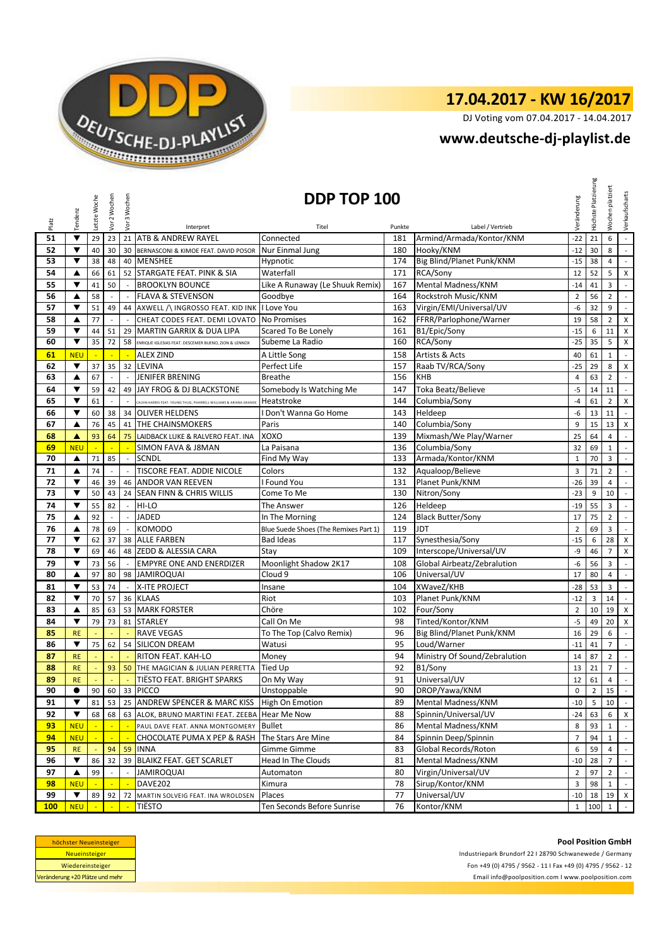

DJ Voting vom 07.04.2017 - 14.04.2017

## **<www.deutsche-dj-playlist.de>**

|           | Tendenz              | Letzte Woche | Vor 2 Wochen   | Vor 3 Wochen             | DDP TOP 100                                                           |                                       |          |                                              | Veränderung           | Höchste Platzierung | Wochen platziert | Verkaufscharts              |
|-----------|----------------------|--------------|----------------|--------------------------|-----------------------------------------------------------------------|---------------------------------------|----------|----------------------------------------------|-----------------------|---------------------|------------------|-----------------------------|
| Platz     |                      |              |                |                          | Interpret                                                             | Titel                                 | Punkte   | Label / Vertrieb                             |                       |                     |                  |                             |
| 51        | ▼                    | 29           | 23             |                          | 21 ATB & ANDREW RAYEL                                                 | Connected                             | 181      | Armind/Armada/Kontor/KNM                     | $-22$                 | 21                  | 6                | $\mathbb{Z}^{\mathbb{Z}}$   |
| 52        | ▼                    | 40           | 30             | 30                       | BERNASCONI & KIMOE FEAT. DAVID POSOR                                  | Nur Einmal Jung                       | 180      | Hooky/KNM                                    | $-12$                 | 30                  | 8                | $\blacksquare$              |
| 53        | ▼                    | 38           | 48             |                          | 40 MENSHEE                                                            | Hypnotic                              | 174      | Big Blind/Planet Punk/KNM                    | $-15$                 | 38                  | 4                | $\sim$                      |
| 54        | ▲                    | 66           | 61             |                          | 52 STARGATE FEAT. PINK & SIA                                          | Waterfall                             | 171      | RCA/Sony                                     | 12                    | 52                  | 5                | X                           |
| 55        | ▼                    | 41           | 50             |                          | <b>BROOKLYN BOUNCE</b>                                                | Like A Runaway (Le Shuuk Remix)       | 167      | Mental Madness/KNM                           | $-14$                 | 41                  | 3                | $\mathbb{Z}^+$              |
| 56        | ▲                    | 58           | $\sim$         | $\mathcal{L}$            | <b>FLAVA &amp; STEVENSON</b>                                          | Goodbye                               | 164      | Rockstroh Music/KNM                          | $\overline{2}$        | 56                  | $\overline{2}$   | $\mathcal{L}$               |
| 57        | ▼                    | 51           | 49             |                          | 44 AXWELL / INGROSSO FEAT. KID INK I Love You                         |                                       | 163      | Virgin/EMI/Universal/UV                      | -6                    | 32                  | 9                | $\blacksquare$              |
| 58        | ▲                    | 77           | $\overline{a}$ | $\overline{\phantom{a}}$ | CHEAT CODES FEAT. DEMI LOVATO No Promises                             |                                       | 162      | FFRR/Parlophone/Warner                       | 19                    | 58                  | $\overline{2}$   | X                           |
| 59        | ▼                    | 44           | 51             | 29                       | <b>MARTIN GARRIX &amp; DUA LIPA</b>                                   | Scared To Be Lonely                   | 161      | B1/Epic/Sony                                 | $-15$                 | 6                   | 11               | X                           |
| 60        | ▼                    | 35           | 72             | 58                       | ENRIQUE IGLESIAS FEAT. DESCEMER BUENO, ZION & LENNOX                  | Subeme La Radio                       | 160      | RCA/Sony                                     | $-25$                 | 35                  | 5                | X                           |
| 61        | <b>NEU</b>           |              |                |                          | <b>ALEX ZIND</b>                                                      | A Little Song                         | 158      | Artists & Acts                               | 40                    | 61                  | $\mathbf 1$      | $\overline{\phantom{a}}$    |
| 62        | ▼                    | 37           | 35             | 32                       | <b>LEVINA</b>                                                         | Perfect Life                          | 157      | Raab TV/RCA/Sony                             | $-25$                 | 29                  | 8                | X                           |
| 63        | ▲                    | 67           | $\sim$         | $\sim$                   | JENIFER BRENING                                                       | <b>Breathe</b>                        | 156      | <b>KHB</b>                                   | 4                     | 63                  | $\overline{2}$   | $\mathbb{L}$                |
| 64        | $\blacktriangledown$ | 59           | 42             | 49                       | JAY FROG & DJ BLACKSTONE                                              | Somebody Is Watching Me               | 147      | Toka Beatz/Believe                           | $-5$                  | 14                  | 11               | $\mathcal{L}_{\mathcal{A}}$ |
| 65        | ▼                    | 61           |                |                          | .<br>ALVIN HARRIS FEAT. YOUNG THUG, PHARRELL WILLIAMS & ARIANA GRANDE | Heatstroke                            | 144      | Columbia/Sony                                | $-4$                  | 61                  | $\overline{2}$   | $\mathsf X$                 |
| 66        | ▼                    | 60           | 38             | 34                       | <b>OLIVER HELDENS</b>                                                 | I Don't Wanna Go Home                 | 143      | Heldeep                                      | -6                    | 13                  | 11               | $\mathbb{R}^2$              |
| 67        | ▲                    | 76           | 45             | 41                       | <b>THE CHAINSMOKERS</b>                                               | Paris                                 | 140      | Columbia/Sony                                | 9                     | 15                  | 13               | X                           |
| 68        | ▲                    | 93           | 64             | 75                       | LAIDBACK LUKE & RALVERO FEAT. INA                                     | XOXO                                  | 139      | Mixmash/We Play/Warner                       | 25                    | 64                  | $\overline{4}$   | $\overline{\phantom{a}}$    |
| 69        | <b>NEU</b>           |              | $\blacksquare$ | $\mathbb{Z}$             | SIMON FAVA & J8MAN                                                    | La Paisana                            | 136      | Columbia/Sony                                | 32                    | 69                  | $\mathbf{1}$     | $\mathbb{Z}^{\mathbb{Z}}$   |
| 70        | ▲                    | 71           | 85             | $\mathbb{L}$             | <b>SCNDL</b>                                                          | Find My Way                           | 133      | Armada/Kontor/KNM                            | $\mathbf{1}$          | 70                  | 3                | $\sim$                      |
| 71        | ▲                    | 74           |                |                          | TISCORE FEAT. ADDIE NICOLE                                            | Colors                                | 132      | Aqualoop/Believe                             | $\overline{3}$        | 71                  | $\overline{2}$   | $\mathbb{R}^2$              |
| 72        | ▼                    | 46           | 39             |                          | 46 ANDOR VAN REEVEN                                                   | I Found You                           | 131      | Planet Punk/KNM                              | $-26$                 | 39                  | $\overline{4}$   | $\mathcal{L}_{\mathcal{A}}$ |
| 73        | $\blacktriangledown$ | 50           | 43             | 24                       | <b>SEAN FINN &amp; CHRIS WILLIS</b>                                   | Come To Me                            | 130      | Nitron/Sony                                  | $-23$                 | 9                   | 10               | $\omega$                    |
| 74        | ▼                    | 55           | 82             | $\mathcal{L}$            | HI-LO                                                                 | The Answer                            | 126      | Heldeep                                      | $-19$                 | 55                  | 3                | $\sim$                      |
| 75        | ▲                    | 92           |                |                          | <b>JADED</b>                                                          | In The Morning                        | 124      | <b>Black Butter/Sony</b>                     | 17                    | 75                  | $\overline{2}$   | $\overline{\phantom{a}}$    |
| 76        | ▲                    | 78           | 69             | $\mathcal{L}$            | <b>KOMODO</b>                                                         | Blue Suede Shoes (The Remixes Part 1) | 119      | <b>JDT</b>                                   | $\overline{2}$        | 69                  | 3                | $\mathcal{L}^{\pm}$         |
| 77        | ▼                    | 62           | 37             |                          | 38 ALLE FARBEN                                                        | <b>Bad Ideas</b>                      | 117      | Synesthesia/Sony                             | $-15$                 | 6                   | 28               | X                           |
| 78        | ▼                    | 69           | 46             |                          | 48 ZEDD & ALESSIA CARA                                                | Stay                                  | 109      | Interscope/Universal/UV                      | -9                    | 46                  | $\overline{7}$   | X                           |
| 79        | ▼                    | 73           | 56             |                          | <b>EMPYRE ONE AND ENERDIZER</b>                                       | Moonlight Shadow 2K17                 | 108      | Global Airbeatz/Zebralution                  | -6                    | 56                  | 3                | $\overline{\phantom{a}}$    |
| 80        | ▲                    | 97           | 80             |                          | 98 JAMIROQUAI                                                         | Cloud 9                               | 106      | Universal/UV                                 | 17                    | 80                  | 4                | $\mathbb{L}^{\mathbb{N}}$   |
| 81        | ▼                    | 53           | 74             | $\mathbb{Z}^2$           | X-ITE PROJECT                                                         | Insane                                | 104      | XWaveZ/KHB                                   | -28                   | 53                  | 3                | $\sim$                      |
| 82        | ▼                    | 70           | 57             |                          | 36 KLAAS                                                              | Riot                                  | 103      | Planet Punk/KNM                              | $-12$                 | 3                   | 14               | $\mathcal{L}_{\mathcal{A}}$ |
| 83        | ▲                    | 85           | 63             |                          | 53 MARK FORSTER                                                       | Chöre                                 | 102      | Four/Sony                                    | $\overline{2}$        | 10                  | 19               | $\mathsf{X}$                |
| 84        | ▼                    | 79           | 73             |                          | 81 STARLEY                                                            | Call On Me                            | 98       | Tinted/Kontor/KNM                            | $-5$                  | 49                  | 20               | X                           |
| 85        | <b>RE</b>            |              |                |                          | <b>RAVE VEGAS</b>                                                     | To The Top (Calvo Remix)              | 96       | Big Blind/Planet Punk/KNM                    | 16                    | 29                  | 6                | $\mathcal{L}_{\mathcal{A}}$ |
| 86        | ▼                    | 75           | 62             |                          | 54 SILICON DREAM                                                      | Watusi                                | 95       | Loud/Warner                                  | $-11$                 | 41                  | $\overline{7}$   | $\sim$                      |
| 87        | <b>RE</b>            |              |                | ÷.                       | RITON FEAT. KAH-LO                                                    | Money                                 | 94       | Ministry Of Sound/Zebralution                | 14                    | 87                  | $\overline{2}$   | $\mathbb{Z}^{\mathbb{Z}}$   |
| 88        | <b>RE</b>            |              | 93             | 50                       | THE MAGICIAN & JULIAN PERRETTA                                        | Tied Up                               | 92       | B1/Sony                                      | 13                    | 21                  | $7\overline{ }$  | $\mathbb{Z}^2$              |
| 89        | $\mathsf{RE}$        | $\sim$       | $\sim$         |                          | - TIËSTO FEAT. BRIGHT SPARKS                                          | On My Way                             | 91       | Universal/UV                                 | 12                    |                     | 61 4             | $\sim$                      |
| 90        | $\bullet$            | 90           | 60             |                          | 33 PICCO                                                              | Unstoppable                           | 90       | DROP/Yawa/KNM                                | 0                     | $\overline{2}$      | 15               | $\sim$                      |
| 91        | ▼                    | 81           | 53             |                          | 25 ANDREW SPENCER & MARC KISS                                         | High On Emotion                       | 89       | Mental Madness/KNM                           | $-10$                 | 5                   | 10 <sup>10</sup> | $\sim$                      |
| 92        | ▼                    | 68           | 68             |                          | 63 ALOK, BRUNO MARTINI FEAT. ZEEBA                                    | Hear Me Now                           | 88       | Spinnin/Universal/UV<br>Mental Madness/KNM   | -24                   | 63                  | 6                | X                           |
| 93        | <b>NEU</b>           |              |                |                          | PAUL DAVE FEAT. ANNA MONTGOMERY                                       | <b>Bullet</b>                         | 86       |                                              | 8                     | 93                  | $\mathbf{1}$     |                             |
| 94        | <b>NEU</b>           | $\mathbb{Z}$ | $\mathbb{Z}^2$ | ×.                       | CHOCOLATE PUMA X PEP & RASH                                           | The Stars Are Mine                    | 84       | Spinnin Deep/Spinnin<br>Global Records/Roton | $\overline{7}$        | 94                  | $\mathbf{1}$     | $\sim$                      |
| 95        | <b>RE</b>            |              | 94             | 59                       | <b>INNA</b>                                                           | Gimme Gimme                           | 83       |                                              | 6                     | 59                  | 4                | $\blacksquare$              |
| 96        | ▼                    | 86           | 32             | 39                       | <b>BLAIKZ FEAT. GET SCARLET</b>                                       | Head In The Clouds                    | 81       | Mental Madness/KNM                           | $-10$                 | 28                  | $\overline{7}$   | $\sim$                      |
| 97        | ▲                    | 99           |                |                          | <b>JAMIROQUAI</b>                                                     | Automaton                             | 80       | Virgin/Universal/UV<br>Sirup/Kontor/KNM      | $\overline{2}$        | 97                  | $\overline{2}$   | $\sim$                      |
| 98        | <b>NEU</b>           |              |                |                          | DAVE202                                                               | Kimura                                | 78       | Universal/UV                                 | 3                     | 98                  | $\mathbf{1}$     | $\omega_{\rm c}$            |
| 99<br>100 | ▼<br><b>NEU</b>      | 89           | 92             | 72                       | MARTIN SOLVEIG FEAT. INA WROLDSEN<br>tiësto                           | Places<br>Ten Seconds Before Sunrise  | 77<br>76 | Kontor/KNM                                   | $-10$<br>$\mathbf{1}$ | 18<br>100           | $\mathbf{1}$     | 19 X<br>$\sim$              |
|           |                      |              |                |                          |                                                                       |                                       |          |                                              |                       |                     |                  |                             |

| höchster Neueinsteiger          |  |  |  |  |  |  |
|---------------------------------|--|--|--|--|--|--|
| <b>Neueinsteiger</b>            |  |  |  |  |  |  |
| Wiedereinsteiger                |  |  |  |  |  |  |
| Veränderung +20 Plätze und mehr |  |  |  |  |  |  |

**Pool Position GmbH** Industriepark Brundorf 22 I 28790 Schwanewede / Germany Fon +49 (0) 4795 / 9562 - 11 I Fax +49 (0) 4795 / 9562 - 12

<Email info@poolposition.com I www.poolposition.com>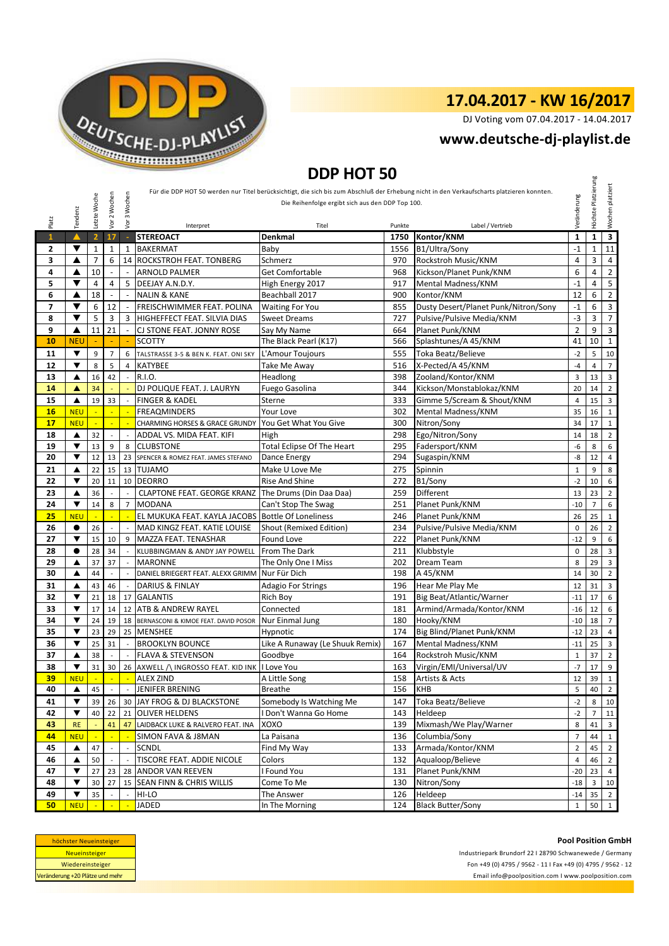

DJ Voting vom 07.04.2017 - 14.04.2017

## **<www.deutsche-dj-playlist.de>**

## **DDP HOT 50**

|              | DUP HUT 50              |                |                             |                |                                                   |                                                  |                |                                                                                                                                            |                 |                     |                         |
|--------------|-------------------------|----------------|-----------------------------|----------------|---------------------------------------------------|--------------------------------------------------|----------------|--------------------------------------------------------------------------------------------------------------------------------------------|-----------------|---------------------|-------------------------|
|              |                         |                |                             |                |                                                   |                                                  |                | Für die DDP HOT 50 werden nur Titel berücksichtigt, die sich bis zum Abschluß der Erhebung nicht in den Verkaufscharts platzieren konnten. |                 | Höchste Platzierung | Wochen platziert        |
|              |                         |                |                             | 3 Wochen       |                                                   | Die Reihenfolge ergibt sich aus den DDP Top 100. |                |                                                                                                                                            |                 |                     |                         |
| Platz        | Tendenz                 | Letzte Woche   | Vor 2 Wochen                | yor            |                                                   |                                                  |                |                                                                                                                                            | Veränderung     |                     |                         |
| $\mathbf{1}$ |                         | $\overline{2}$ | 17                          | L,             | Interpret<br><b>STEREOACT</b>                     | Titel<br><b>Denkmal</b>                          | Punkte<br>1750 | Label / Vertrieb<br>Kontor/KNM                                                                                                             | $\mathbf{1}$    | $\mathbf{1}$        | $\overline{\mathbf{3}}$ |
| $\mathbf{2}$ | ▼                       | $\mathbf 1$    | $\mathbf 1$                 | 1              | <b>BAKERMAT</b>                                   | Baby                                             | 1556           | B1/Ultra/Sony                                                                                                                              | $-1$            | 1                   | 11                      |
| 3            | ▲                       | $\overline{7}$ | 6                           | 14             | ROCKSTROH FEAT. TONBERG                           | Schmerz                                          | 970            | Rockstroh Music/KNM                                                                                                                        | $\overline{4}$  | 3                   | 4                       |
| 4            | ▲                       | 10             |                             |                | <b>ARNOLD PALMER</b>                              | <b>Get Comfortable</b>                           | 968            | Kickson/Planet Punk/KNM                                                                                                                    | 6               | 4                   | $\overline{2}$          |
| 5            | ▼                       | $\overline{4}$ | 4                           | 5              | DEEJAY A.N.D.Y.                                   | High Energy 2017                                 | 917            | <b>Mental Madness/KNM</b>                                                                                                                  | $-1$            | 4                   | 5                       |
| 6            | ▲                       | 18             | $\sim$                      |                | <b>NALIN &amp; KANE</b>                           | Beachball 2017                                   | 900            | Kontor/KNM                                                                                                                                 | 12              | 6                   | $\overline{2}$          |
| 7            | ▼                       | 6              | 12                          |                | FREISCHWIMMER FEAT. POLINA                        | <b>Waiting For You</b>                           | 855            | Dusty Desert/Planet Punk/Nitron/Sony                                                                                                       | $-1$            | 6                   | 3                       |
| 8            | ▼                       | 5              | 3                           | 3              | HIGHEFFECT FEAT. SILVIA DIAS                      | <b>Sweet Dreams</b>                              | 727            | Pulsive/Pulsive Media/KNM                                                                                                                  | $-3$            | 3                   | $\overline{7}$          |
| 9            | ▲                       | 11             | 21                          |                | CJ STONE FEAT. JONNY ROSE                         | Say My Name                                      | 664            | Planet Punk/KNM                                                                                                                            | $\overline{2}$  | 9                   | $\overline{3}$          |
| 10           | <b>NEL</b>              |                |                             |                | <b>SCOTTY</b>                                     | The Black Pearl (K17)                            | 566            | Splashtunes/A 45/KNM                                                                                                                       | 41              | 10                  | $\mathbf{1}$            |
| 11           | $\blacktriangledown$    | 9              | $\overline{7}$              | 6              | TALSTRASSE 3-5 & BEN K. FEAT. ONI SKY             | L'Amour Toujours                                 | 555            | Toka Beatz/Believe                                                                                                                         | $-2$            | 5                   | 10                      |
| 12           | ▼                       | 8              | 5                           | 4              | <b>KATYBEE</b>                                    | Take Me Away                                     | 516            | X-Pected/A 45/KNM                                                                                                                          | $-4$            | $\overline{4}$      | $\overline{7}$          |
| 13           | ▲                       | 16             | 42                          |                | R.I.O.                                            | Headlong                                         | 398            | Zooland/Kontor/KNM                                                                                                                         | 3               | 13                  | 3                       |
| 14           | A                       | 34             |                             |                | DJ POLIQUE FEAT. J. LAURYN                        | Fuego Gasolina                                   | 344            | Kickson/Monstablokaz/KNM                                                                                                                   | 20              | 14                  | $\overline{2}$          |
| 15           | ▲                       | 19             | 33                          |                | <b>FINGER &amp; KADEL</b>                         | Sterne                                           | 333            | Gimme 5/Scream & Shout/KNM                                                                                                                 | $\overline{4}$  | 15                  | 3                       |
| 16           | <b>NEU</b>              | ÷              | $\mathbb{Z}^2$              | ÷              | <b>FREAQMINDERS</b>                               | Your Love                                        | 302            | Mental Madness/KNM                                                                                                                         | 35              | 16                  | $\mathbf{1}$            |
| 17           | <b>NEU</b>              |                |                             |                | <b>CHARMING HORSES &amp; GRACE GRUNDY</b>         | You Get What You Give                            | 300            | Nitron/Sony                                                                                                                                | 34              | 17                  | $\mathbf{1}$            |
| 18           | ▲                       | 32             | $\overline{\phantom{a}}$    |                | ADDAL VS. MIDA FEAT. KIFI                         | High                                             | 298            | Ego/Nitron/Sony                                                                                                                            | 14              | 18                  | $\overline{2}$          |
| 19           | ▼                       | 13             | 9                           | 8              | <b>CLUBSTONE</b>                                  | Total Eclipse Of The Heart                       | 295            | Fadersport/KNM                                                                                                                             | $-6$            | 8                   | 6                       |
| 20           | ▼                       | 12             | 13                          | 23             | SPENCER & ROMEZ FEAT. JAMES STEFANO               | Dance Energy                                     | 294            | Sugaspin/KNM                                                                                                                               | -8              | 12                  | $\overline{4}$          |
| 21           | ▲                       | 22             | 15                          |                | 13 TUJAMO                                         | Make U Love Me                                   | 275            | Spinnin                                                                                                                                    | $\mathbf{1}$    | 9                   | 8                       |
| 22           | ▼                       | 20             | 11                          | 10             | <b>DEORRO</b>                                     | <b>Rise And Shine</b>                            | 272            | B1/Sony                                                                                                                                    | $-2$            | 10                  | 6                       |
| 23           | ▲                       | 36             | $\overline{\phantom{a}}$    | $\overline{a}$ | CLAPTONE FEAT. GEORGE KRANZ                       | The Drums (Din Daa Daa)                          | 259            | <b>Different</b>                                                                                                                           | 13              | 23                  | $\overline{2}$          |
| 24           | ▼                       | 14             | 8                           | $7^{\circ}$    | <b>MODANA</b>                                     | Can't Stop The Swag                              | 251            | Planet Punk/KNM                                                                                                                            | $-10$           | $\overline{7}$      | 6                       |
| 25           | <b>NEU</b>              |                |                             |                | EL MUKUKA FEAT. KAYLA JACOBS Bottle Of Loneliness |                                                  | 246            | Planet Punk/KNM                                                                                                                            | 26              | 25                  | $\mathbf{1}$            |
| 26           | $\bullet$               | 26             | $\overline{\phantom{a}}$    |                | MAD KINGZ FEAT. KATIE LOUISE                      | Shout (Remixed Edition)                          | 234            | Pulsive/Pulsive Media/KNM                                                                                                                  | $\mathbf 0$     | 26                  | $\overline{2}$          |
| 27           | ▼                       | 15             | 10                          | 9              | MAZZA FEAT. TENASHAR                              | Found Love                                       | 222            | Planet Punk/KNM                                                                                                                            | $-12$           | 9                   | 6                       |
| 28           | $\bullet$               | 28             | 34                          |                | KLUBBINGMAN & ANDY JAY POWELL                     | From The Dark                                    | 211            | Klubbstyle                                                                                                                                 | $\mathbf 0$     | 28                  | 3                       |
| 29           | ▲                       | 37             | 37                          |                | <b>MARONNE</b>                                    | The Only One I Miss                              | 202            | <b>Dream Team</b>                                                                                                                          | 8               | 29                  | $\overline{\mathbf{3}}$ |
| 30           | ▲                       | 44             | $\mathcal{L}_{\mathcal{A}}$ |                | DANIEL BRIEGERT FEAT. ALEXX GRIMM                 | Nur Für Dich                                     | 198            | A 45/KNM                                                                                                                                   | 14              | 30                  | $\overline{2}$          |
| 31           | ▲                       | 43             | 46                          |                | <b>DARIUS &amp; FINLAY</b>                        | <b>Adagio For Strings</b>                        | 196            | Hear Me Play Me                                                                                                                            | 12              | 31                  | 3                       |
| 32           | ▼                       | 21             | 18                          | 17             | <b>GALANTIS</b>                                   | <b>Rich Boy</b>                                  | 191            | Big Beat/Atlantic/Warner                                                                                                                   | $-11$           | 17                  | 6                       |
| 33           | ▼                       | 17             | 14                          |                | 12 ATB & ANDREW RAYEL                             | Connected                                        | 181            | Armind/Armada/Kontor/KNM                                                                                                                   | $-16$           | 12                  | 6                       |
| 34           | ▼                       | 24             | 19                          | 18             | BERNASCONI & KIMOE FEAT. DAVID POSOR              | Nur Einmal Jung                                  | 180            | Hooky/KNM                                                                                                                                  | $-10$           | 18                  | $\overline{7}$          |
| 35           | ▼                       | 23             | 29                          |                | 25 MENSHEE                                        | Hypnotic                                         | 174            | Big Blind/Planet Punk/KNM                                                                                                                  | $-12$           | 23                  | $\overline{4}$          |
| 36           | ▼                       | 25             | 31                          |                | <b>BROOKLYN BOUNCE</b>                            | Like A Runaway (Le Shuuk Remix)                  | 167            | Mental Madness/KNM                                                                                                                         | $-11$           | 25                  | 3                       |
| 37           | ▲                       | 38             | $\sim$                      |                | <b>FLAVA &amp; STEVENSON</b>                      | Goodbye                                          | 164            | Rockstroh Music/KNM                                                                                                                        | $\mathbf{1}$    | 37                  | $\overline{2}$          |
| 38           | $\overline{\textbf{v}}$ | 31             | 30                          | 26             | AXWELL /\ INGROSSO FEAT. KID INK                  | I Love You                                       | 163            | Virgin/EMI/Universal/UV                                                                                                                    | $-7$            | 17                  | 9                       |
| 39           | <b>NEU</b>              | $\sim$ $-$     | $\sim$                      | $\sim$         | <b>ALEX ZIND</b>                                  | A Little Song                                    | 158            | Artists & Acts                                                                                                                             | 12 <sub>1</sub> | 39 1                |                         |
| 40           | ▲                       | 45             | $\sim$                      |                | JENIFER BRENING                                   | <b>Breathe</b>                                   | 156            | <b>KHB</b>                                                                                                                                 | 5               | 40                  | $\overline{2}$          |
| 41           | ▼                       | 39             | 26                          |                | 30 JAY FROG & DJ BLACKSTONE                       | Somebody Is Watching Me                          | 147            | Toka Beatz/Believe                                                                                                                         | $-2$            | 8                   | 10                      |
| 42           | ▼                       | 40             | 22                          |                | 21 OLIVER HELDENS                                 | I Don't Wanna Go Home                            | 143            | Heldeep                                                                                                                                    | $-2$            | 7                   | 11                      |
| 43           | <b>RE</b>               |                | 41                          |                | 47 LAIDBACK LUKE & RALVERO FEAT. INA              | XOXO                                             | 139            | Mixmash/We Play/Warner                                                                                                                     | 8               | 41                  | 3                       |
| 44           | <b>NEU</b>              | ÷.             | $\mathbb{L}$                |                | SIMON FAVA & J8MAN                                | La Paisana                                       | 136            | Columbia/Sony                                                                                                                              | $\overline{7}$  | 44                  | $\mathbf{1}$            |
| 45           | ▲                       | 47             | $\overline{\phantom{a}}$    |                | <b>SCNDL</b>                                      | Find My Way                                      | 133            | Armada/Kontor/KNM                                                                                                                          | $\overline{2}$  | 45                  | $\overline{2}$          |
| 46           | ▲                       | 50             |                             |                | TISCORE FEAT. ADDIE NICOLE                        | Colors                                           | 132            | Aqualoop/Believe                                                                                                                           | $\overline{4}$  | 46                  | $\overline{2}$          |
| 47           | ▼                       | 27             | 23                          |                | 28 ANDOR VAN REEVEN                               | I Found You                                      | 131            | Planet Punk/KNM                                                                                                                            | $-20$           | 23                  |                         |
| 48           | ▼                       | 30             | 27                          |                | 15 SEAN FINN & CHRIS WILLIS                       | Come To Me                                       | 130            | Nitron/Sony                                                                                                                                | $-18$           | 3                   | 10                      |
| 49           | ▼                       | 35             |                             |                | HI-LO                                             | The Answer                                       | 126            | Heldeep                                                                                                                                    | $-14$           | 35                  | $\overline{2}$          |
| 50           | <b>NEU</b>              |                |                             |                | JADED                                             | In The Morning                                   | 124            | <b>Black Butter/Sony</b>                                                                                                                   | $\mathbf{1}$    | 50                  | $\mathbf{1}$            |

| höchster Neueinsteiger          |  |  |  |  |  |  |  |
|---------------------------------|--|--|--|--|--|--|--|
| Neueinsteiger                   |  |  |  |  |  |  |  |
| Wiedereinsteiger                |  |  |  |  |  |  |  |
| Veränderung +20 Plätze und mehr |  |  |  |  |  |  |  |

<Email info@poolposition.com I www.poolposition.com> Industriepark Brundorf 22 I 28790 Schwanewede / Germany Fon +49 (0) 4795 / 9562 - 11 I Fax +49 (0) 4795 / 9562 - 12 **Pool Position GmbH**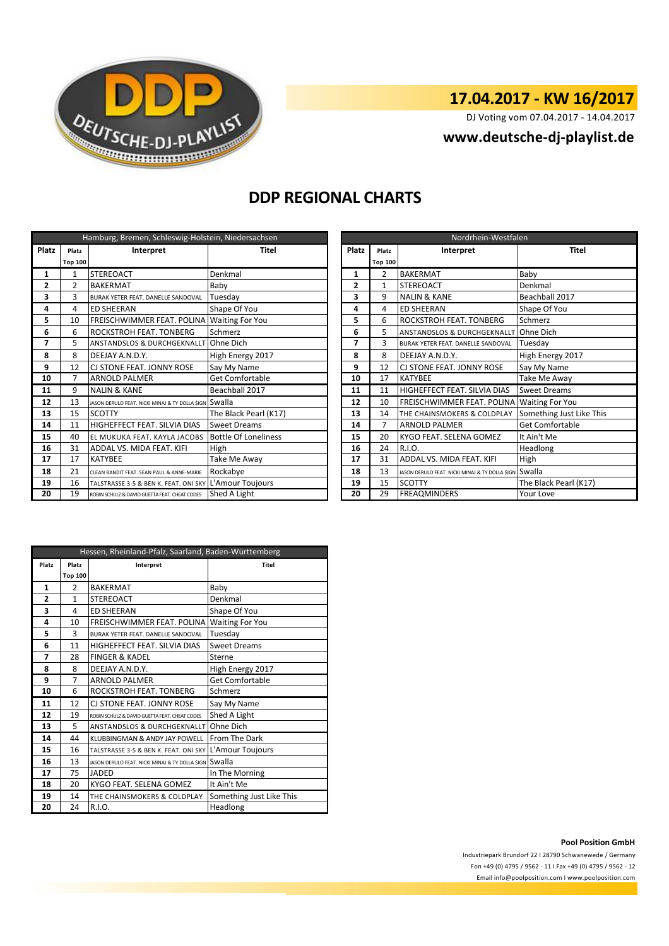

DJ Voting vom 07.04.2017 - 14.04.2017

## **<www.deutsche-dj-playlist.de>**

## **DDP REGIONAL CHARTS**

| Hamburg, Bremen, Schleswig-Holstein, Niedersachsen |                |                                                        |                        |       |    | Nordrhein-Westfalen |                                                       |                          |  |  |  |  |
|----------------------------------------------------|----------------|--------------------------------------------------------|------------------------|-------|----|---------------------|-------------------------------------------------------|--------------------------|--|--|--|--|
| Platz                                              | Platz          | Interpret                                              | Titel                  | Platz |    | Platz               | Interpret                                             | <b>Titel</b>             |  |  |  |  |
|                                                    | <b>Top 100</b> |                                                        |                        |       |    | <b>Top 100</b>      |                                                       |                          |  |  |  |  |
| 1                                                  | 1              | <b>STEREOACT</b>                                       | Denkmal                |       | 1  | 2                   | <b>BAKERMAT</b>                                       | Baby                     |  |  |  |  |
| 2                                                  | $\overline{a}$ | <b>BAKERMAT</b>                                        | Baby                   |       | 2  |                     | <b>STEREOACT</b>                                      | Denkmal                  |  |  |  |  |
| 3                                                  | 3              | BURAK YETER FEAT. DANELLE SANDOVAL                     | Tuesday                |       | 3  | 9                   | <b>NALIN &amp; KANE</b>                               | Beachball 2017           |  |  |  |  |
| 4                                                  | 4              | <b>ED SHEERAN</b>                                      | Shape Of You           |       | 4  | 4                   | <b>ED SHEERAN</b>                                     | Shape Of You             |  |  |  |  |
| 5                                                  | 10             | FREISCHWIMMER FEAT. POLINA Waiting For You             |                        |       | 5  | 6                   | ROCKSTROH FEAT. TONBERG                               | Schmerz                  |  |  |  |  |
| 6                                                  | 6              | <b>ROCKSTROH FEAT. TONBERG</b>                         | Schmerz                |       | 6  | 5                   | ANSTANDSLOS & DURCHGEKNALLT                           | Ohne Dich                |  |  |  |  |
| 7                                                  | 5              | ANSTANDSLOS & DURCHGEKNALLT Ohne Dich                  |                        |       | 7  | 3                   | BURAK YETER FEAT. DANELLE SANDOVAL                    | Tuesday                  |  |  |  |  |
| 8                                                  | 8              | DEEJAY A.N.D.Y.                                        | High Energy 2017       |       | 8  | 8                   | DEEJAY A.N.D.Y.                                       | High Energy 2017         |  |  |  |  |
| 9                                                  | 12             | CJ STONE FEAT. JONNY ROSE                              | Say My Name            |       | 9  | 12                  | CJ STONE FEAT. JONNY ROSE                             | Say My Name              |  |  |  |  |
| 10                                                 |                | ARNOLD PALMER                                          | <b>Get Comfortable</b> |       | 10 | 17                  | <b>KATYBEE</b>                                        | Take Me Away             |  |  |  |  |
| 11                                                 | 9              | <b>NALIN &amp; KANE</b>                                | Beachball 2017         |       | 11 | 11                  | <b>HIGHEFFECT FEAT. SILVIA DIAS</b>                   | <b>Sweet Dreams</b>      |  |  |  |  |
| 12                                                 | 13             | JASON DERULO FEAT. NICKI MINAJ & TY DOLLA SIGN SWALLA  |                        |       | 12 | 10                  | FREISCHWIMMER FEAT. POLINA Waiting For You            |                          |  |  |  |  |
| 13                                                 | 15             | <b>SCOTTY</b>                                          | The Black Pearl (K17)  |       | 13 | 14                  | THE CHAINSMOKERS & COLDPLAY                           | Something Just Like This |  |  |  |  |
| 14                                                 | 11             | HIGHEFFECT FEAT. SILVIA DIAS                           | <b>Sweet Dreams</b>    |       | 14 | $\overline{7}$      | <b>ARNOLD PALMER</b>                                  | <b>Get Comfortable</b>   |  |  |  |  |
| 15                                                 | 40             | EL MUKUKA FEAT. KAYLA JACOBS   Bottle Of Loneliness    |                        |       | 15 | 20                  | KYGO FEAT. SELENA GOMEZ                               | It Ain't Me              |  |  |  |  |
| 16                                                 | 31             | ADDAL VS. MIDA FEAT. KIFI                              | High                   |       | 16 | 24                  | R.I.O.                                                | Headlong                 |  |  |  |  |
| 17                                                 | 17             | <b>KATYBEE</b>                                         | Take Me Away           |       | 17 | 31                  | ADDAL VS. MIDA FEAT. KIFI                             | High                     |  |  |  |  |
| 18                                                 | 21             | CLEAN BANDIT FEAT. SEAN PAUL & ANNE-MARIE              | Rockabye               |       | 18 | 13                  | JASON DERULO FEAT. NICKI MINAJ & TY DOLLA SIGN SWAIIA |                          |  |  |  |  |
| 19                                                 | 16             | TALSTRASSE 3-5 & BEN K. FEAT. ONI SKY L'Amour Toujours |                        |       | 19 | 15                  | <b>SCOTTY</b>                                         | The Black Pearl (K17)    |  |  |  |  |
| 20                                                 | 19             | ROBIN SCHULZ & DAVID GUETTA FEAT. CHEAT CODES          | Shed A Light           |       | 20 | 29                  | <b>FREAQMINDERS</b>                                   | Your Love                |  |  |  |  |

|                | Nordrhein-Westfalen       |                                                |                          |  |  |  |  |  |
|----------------|---------------------------|------------------------------------------------|--------------------------|--|--|--|--|--|
| Platz          | Platz                     | Interpret                                      | <b>Titel</b>             |  |  |  |  |  |
|                | <b>Top 100</b>            |                                                |                          |  |  |  |  |  |
| 1              | $\mathcal{P}$             | <b>BAKERMAT</b>                                | Baby                     |  |  |  |  |  |
| $\overline{2}$ | 1                         | <b>STEREOACT</b>                               | Denkmal                  |  |  |  |  |  |
| 3              | 9                         | <b>NALIN &amp; KANE</b>                        | Beachball 2017           |  |  |  |  |  |
| 4              | 4                         | <b>ED SHEERAN</b>                              | Shape Of You             |  |  |  |  |  |
| 5              | 6                         | ROCKSTROH FEAT. TONBERG                        | Schmerz                  |  |  |  |  |  |
| 6              | 5                         | ANSTANDSLOS & DURCHGEKNALLT                    | Ohne Dich                |  |  |  |  |  |
| 7              | 3                         | BURAK YETER FEAT. DANELLE SANDOVAL             | Tuesday                  |  |  |  |  |  |
| 8              | 8                         | DEEJAY A.N.D.Y.                                | High Energy 2017         |  |  |  |  |  |
| 9              | 12                        | CJ STONE FEAT. JONNY ROSE                      | Say My Name              |  |  |  |  |  |
| 10             | 17                        | <b>KATYBEE</b>                                 | Take Me Away             |  |  |  |  |  |
| 11             | 11                        | HIGHEFFECT FEAT. SILVIA DIAS                   | <b>Sweet Dreams</b>      |  |  |  |  |  |
| 12             | 10                        | FREISCHWIMMER FEAT. POLINA                     | <b>Waiting For You</b>   |  |  |  |  |  |
| 13             | 14                        | THE CHAINSMOKERS & COLDPLAY                    | Something Just Like This |  |  |  |  |  |
| 14             | $\overline{7}$            | <b>ARNOLD PALMER</b>                           | <b>Get Comfortable</b>   |  |  |  |  |  |
| 15             | 20                        | KYGO FEAT. SELENA GOMEZ                        | It Ain't Me              |  |  |  |  |  |
| 16             | 24                        | R.I.O.                                         | Headlong                 |  |  |  |  |  |
| 17             | 31                        | ADDAL VS. MIDA FEAT. KIFI                      | High                     |  |  |  |  |  |
| 18             | 13                        | JASON DERULO FEAT. NICKI MINAJ & TY DOLLA SIGN | Swalla                   |  |  |  |  |  |
| 19             | 15                        | <b>SCOTTY</b>                                  | The Black Pearl (K17)    |  |  |  |  |  |
| 20             | 29<br><b>FREAQMINDERS</b> |                                                | Your Love                |  |  |  |  |  |

|                | Hessen, Rheinland-Pfalz, Saarland, Baden-Württemberg |                                                 |                          |  |  |  |  |
|----------------|------------------------------------------------------|-------------------------------------------------|--------------------------|--|--|--|--|
| Platz          | Platz                                                | Interpret                                       | Titel                    |  |  |  |  |
|                | <b>Top 100</b>                                       |                                                 |                          |  |  |  |  |
| 1              | 2                                                    | <b>BAKERMAT</b>                                 | Baby                     |  |  |  |  |
| $\overline{2}$ | 1                                                    | <b>STEREOACT</b>                                | Denkmal                  |  |  |  |  |
| 3              | 4                                                    | <b>ED SHEERAN</b>                               | Shape Of You             |  |  |  |  |
| 4              | 10                                                   | FREISCHWIMMER FEAT. POLINA                      | <b>Waiting For You</b>   |  |  |  |  |
| 5              | 3                                                    | BURAK YETER FEAT. DANELLE SANDOVAL              | Tuesday                  |  |  |  |  |
| 6              | 11                                                   | HIGHEFFECT FEAT. SILVIA DIAS                    | <b>Sweet Dreams</b>      |  |  |  |  |
| 7              | 28                                                   | <b>FINGER &amp; KADEL</b>                       | Sterne                   |  |  |  |  |
| 8              | 8                                                    | DEEJAY A.N.D.Y.                                 | High Energy 2017         |  |  |  |  |
| 9              | 7                                                    | <b>ARNOLD PALMER</b>                            | <b>Get Comfortable</b>   |  |  |  |  |
| 10             | 6                                                    | ROCKSTROH FEAT. TONBERG                         | Schmerz                  |  |  |  |  |
| 11             | 12                                                   | CJ STONE FEAT. JONNY ROSE                       | Say My Name              |  |  |  |  |
| 12             | 19                                                   | ROBIN SCHULZ & DAVID GUETTA FEAT, CHEAT CODES   | Shed A Light             |  |  |  |  |
| 13             | 5                                                    | ANSTANDSLOS & DURCHGEKNALLT                     | Ohne Dich                |  |  |  |  |
| 14             | 44                                                   | KLUBBINGMAN & ANDY JAY POWELL                   | From The Dark            |  |  |  |  |
| 15             | 16                                                   | TALSTRASSE 3-5 & BEN K. FEAT. ONI SKY           | L'Amour Toujours         |  |  |  |  |
| 16             | 13                                                   | JASON DERULO FEAT. NICKI MINAJ & TY DOLLA \$IGN | Swalla                   |  |  |  |  |
| 17             | 75                                                   | JADED                                           | In The Morning           |  |  |  |  |
| 18             | 20                                                   | KYGO FEAT, SELENA GOMEZ                         | It Ain't Me              |  |  |  |  |
| 19             | 14                                                   | THE CHAINSMOKERS & COLDPLAY                     | Something Just Like This |  |  |  |  |
| 20             | 24                                                   | R.I.O.                                          | Headlong                 |  |  |  |  |

#### **Pool Position GmbH**

Industriepark Brundorf 22 I 28790 Schwanewede / Germany Fon +49 (0) 4795 / 9562 - 11 I Fax +49 (0) 4795 / 9562 - 12 <Email info@poolposition.com I www.poolposition.com>